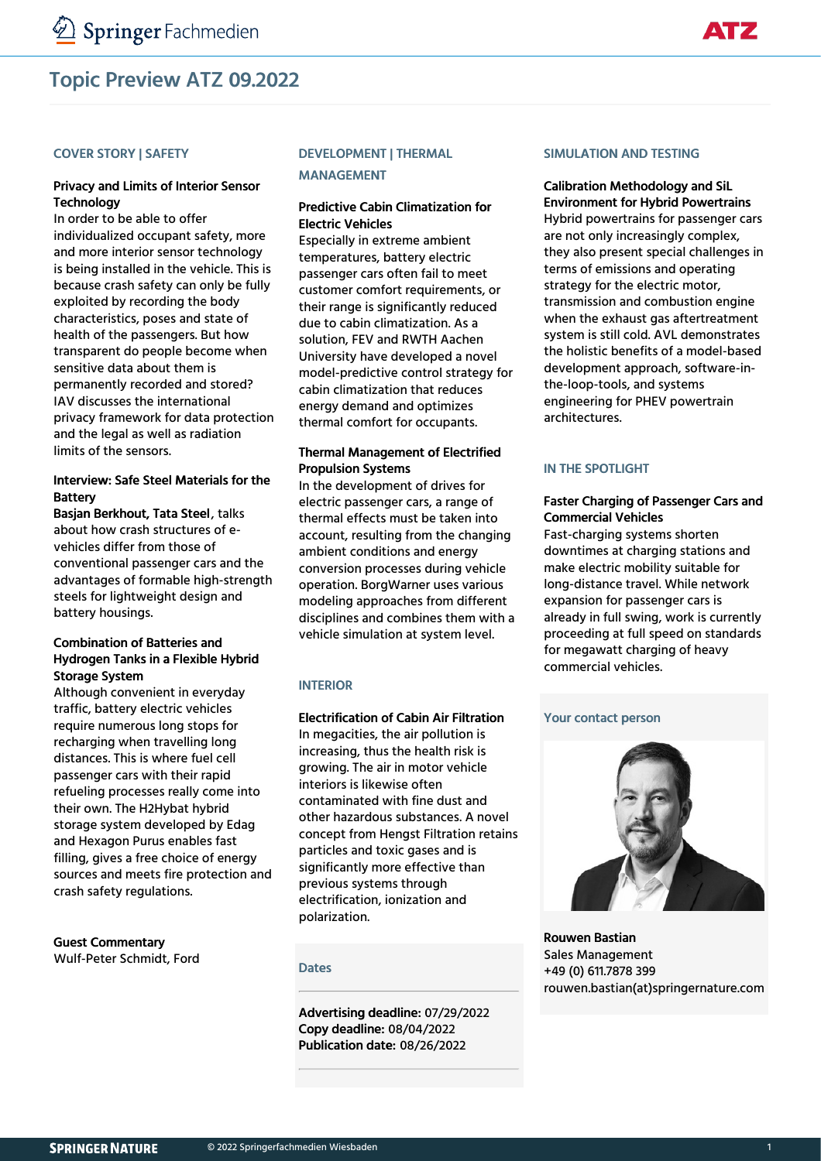## Topic Preview ATZ 09.2022

#### COVER STORY | SAFETY

#### Privacy and Limits of Interior Sensor **Technology**

In order to be able to offer individualized occupant safety, more and more interior sensor technology is being installed in the vehicle. This is because crash safety can only be fully exploited by recording the body characteristics, poses and state of health of the passengers. But how transparent do people become when sensitive data about them is permanently recorded and stored? IAV discusses the international privacy framework for data protection and the legal as well as radiation limits of the sensors.

## Interview: Safe Steel Materials for the Battery

Basjan Berkhout, Tata Steel, talks about how crash structures of evehicles differ from those of conventional passenger cars and the advantages of formable high-strength steels for lightweight design and battery housings.

## Combination of Batteries and Hydrogen Tanks in a Flexible Hybrid Storage System

Although convenient in everyday traffic, battery electric vehicles require numerous long stops for recharging when travelling long distances. This is where fuel cell passenger cars with their rapid refueling processes really come into their own. The H2Hybat hybrid storage system developed by Edag and Hexagon Purus enables fast filling, gives a free choice of energy sources and meets fire protection and crash safety regulations.

#### Guest Commentary Wulf-Peter Schmidt, Ford

## DEVELOPMENT | THERMAL

MANAGEMENT

## Predictive Cabin Climatization for Electric Vehicles

Especially in extreme ambient temperatures, battery electric passenger cars often fail to meet customer comfort requirements, or their range is significantly reduced due to cabin climatization. As a solution, FEV and RWTH Aachen University have developed a novel model-predictive control strategy for cabin climatization that reduces energy demand and optimizes thermal comfort for occupants.

## Thermal Management of Electrified Propulsion Systems

In the development of drives for electric passenger cars, a range of thermal effects must be taken into account, resulting from the changing ambient conditions and energy conversion processes during vehicle operation. BorgWarner uses various modeling approaches from different disciplines and combines them with a vehicle simulation at system level.

## INTERIOR

#### Electrification of Cabin Air Filtration

In megacities, the air pollution is increasing, thus the health risk is growing. The air in motor vehicle interiors is likewise often contaminated with fine dust and other hazardous substances. A novel concept from Hengst Filtration retains particles and toxic gases and is significantly more effective than previous systems through electrification, ionization and polarization.

#### **Dates**

Advertising deadline: 07/29/2022 Copy deadline: 08/04/2022 Publication date: 08/26/2022

#### SIMULATION AND TESTING

## Calibration Methodology and SiL Environment for Hybrid Powertrains

Hybrid powertrains for passenger cars are not only increasingly complex, they also present special challenges in terms of emissions and operating strategy for the electric motor, transmission and combustion engine when the exhaust gas aftertreatment system is still cold. AVL demonstrates the holistic benefits of a model-based development approach, software-inthe-loop-tools, and systems engineering for PHEV powertrain architectures.

## IN THE SPOTLIGHT

#### Faster Charging of Passenger Cars and Commercial Vehicles

Fast-charging systems shorten downtimes at charging stations and make electric mobility suitable for long-distance travel. While network expansion for passenger cars is already in full swing, work is currently proceeding at full speed on standards for megawatt charging of heavy commercial vehicles.

#### Your contact person



Rouwen Bastian Sales Management +49 (0) 611.7878 399 rouwen.bastian(at)springernature.com